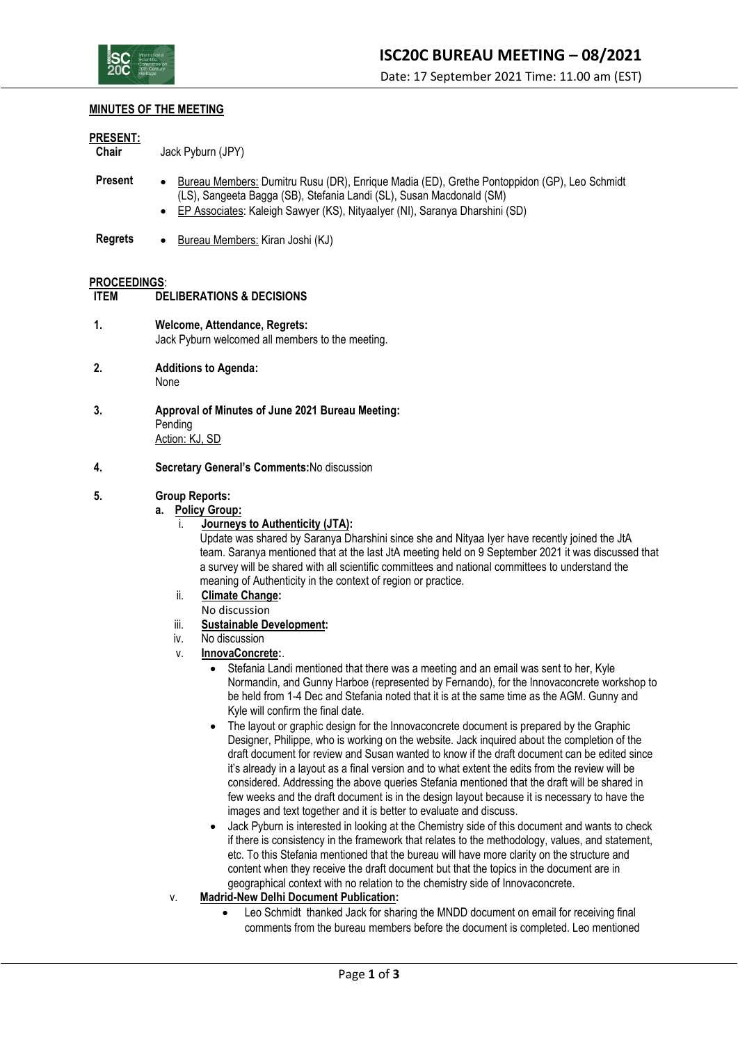

#### **MINUTES OF THE MEETING**

#### **PRESENT:**

**Chair** Jack Pyburn (JPY)

- **Present** Bureau Members: Dumitru Rusu (DR), Enrique Madia (ED), Grethe Pontoppidon (GP), Leo Schmidt (LS), Sangeeta Bagga (SB), Stefania Landi (SL), Susan Macdonald (SM)
	- EP Associates: Kaleigh Sawyer (KS), NityaaIyer (NI), Saranya Dharshini (SD)
- **Regrets** Bureau Members: Kiran Joshi (KJ)

#### **PROCEEDINGS**:

```
ITEM DELIBERATIONS & DECISIONS
```
- **1. Welcome, Attendance, Regrets:** Jack Pyburn welcomed all members to the meeting.
- **2. Additions to Agenda:** None
- **3. Approval of Minutes of June 2021 Bureau Meeting:** Pending Action: KJ, SD
- **4. Secretary General's Comments:**No discussion

#### **5. Group Reports:**

#### **a. Policy Group:**

i. **Journeys to Authenticity (JTA):**

Update was shared by Saranya Dharshini since she and Nityaa Iyer have recently joined the JtA team. Saranya mentioned that at the last JtA meeting held on 9 September 2021 it was discussed that a survey will be shared with all scientific committees and national committees to understand the meaning of Authenticity in the context of region or practice.

- ii. **Climate Change:** No discussion
- iii. **Sustainable Development:**
- iv. No discussion
- v. **InnovaConcrete:**.
	- Stefania Landi mentioned that there was a meeting and an email was sent to her, Kyle Normandin, and Gunny Harboe (represented by Fernando), for the Innovaconcrete workshop to be held from 1-4 Dec and Stefania noted that it is at the same time as the AGM. Gunny and Kyle will confirm the final date.
	- The layout or graphic design for the Innovaconcrete document is prepared by the Graphic Designer, Philippe, who is working on the website. Jack inquired about the completion of the draft document for review and Susan wanted to know if the draft document can be edited since it's already in a layout as a final version and to what extent the edits from the review will be considered. Addressing the above queries Stefania mentioned that the draft will be shared in few weeks and the draft document is in the design layout because it is necessary to have the images and text together and it is better to evaluate and discuss.
	- Jack Pyburn is interested in looking at the Chemistry side of this document and wants to check if there is consistency in the framework that relates to the methodology, values, and statement, etc. To this Stefania mentioned that the bureau will have more clarity on the structure and content when they receive the draft document but that the topics in the document are in geographical context with no relation to the chemistry side of Innovaconcrete.
- v. **Madrid-New Delhi Document Publication:**
	- Leo Schmidt thanked Jack for sharing the MNDD document on email for receiving final comments from the bureau members before the document is completed. Leo mentioned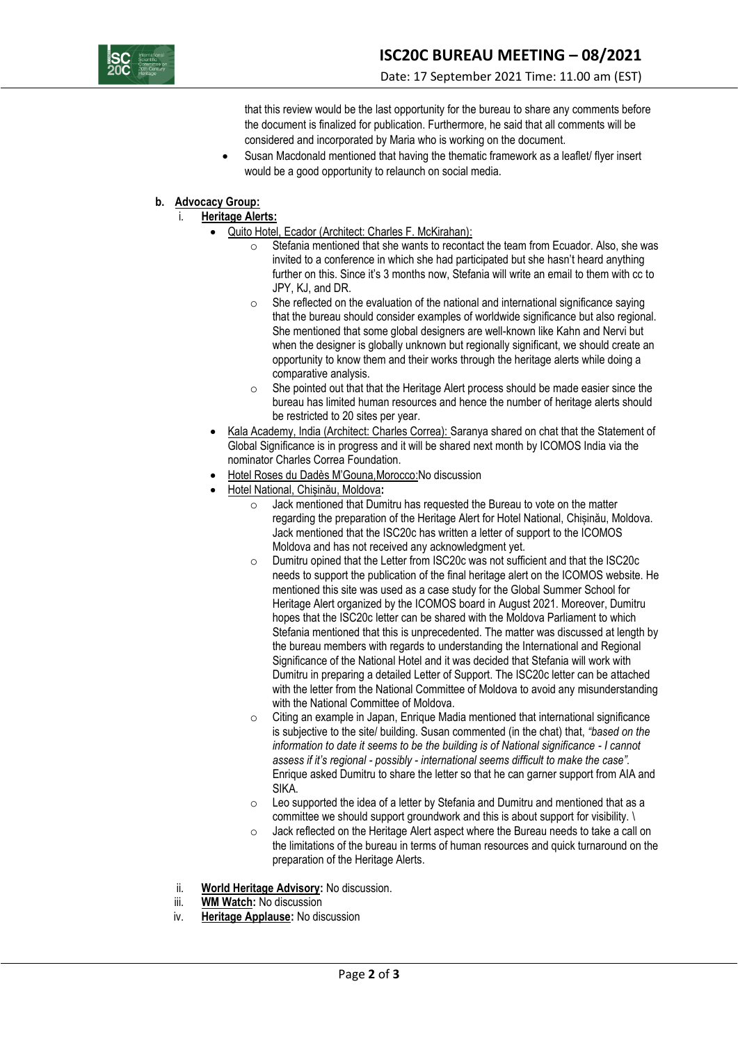

that this review would be the last opportunity for the bureau to share any comments before the document is finalized for publication. Furthermore, he said that all comments will be considered and incorporated by Maria who is working on the document.

Susan Macdonald mentioned that having the thematic framework as a leaflet/ flyer insert would be a good opportunity to relaunch on social media.

## **b. Advocacy Group:**

# i. **Heritage Alerts:**

- Quito Hotel, Ecador (Architect: Charles F. McKirahan):
	- $\circ$  Stefania mentioned that she wants to recontact the team from Ecuador. Also, she was invited to a conference in which she had participated but she hasn't heard anything further on this. Since it's 3 months now, Stefania will write an email to them with cc to JPY, KJ, and DR.
	- $\circ$  She reflected on the evaluation of the national and international significance saying that the bureau should consider examples of worldwide significance but also regional. She mentioned that some global designers are well-known like Kahn and Nervi but when the designer is globally unknown but regionally significant, we should create an opportunity to know them and their works through the heritage alerts while doing a comparative analysis.
	- o She pointed out that that the Heritage Alert process should be made easier since the bureau has limited human resources and hence the number of heritage alerts should be restricted to 20 sites per year.
- Kala Academy, India (Architect: Charles Correa): Saranya shared on chat that the Statement of Global Significance is in progress and it will be shared next month by ICOMOS India via the nominator Charles Correa Foundation.
- Hotel Roses du Dadès M'Gouna,Morocco:No discussion
- Hotel National, Chișinău, Moldova**:** 
	- o Jack mentioned that Dumitru has requested the Bureau to vote on the matter regarding the preparation of the Heritage Alert for Hotel National, Chișinău, Moldova. Jack mentioned that the ISC20c has written a letter of support to the ICOMOS Moldova and has not received any acknowledgment yet.
	- o Dumitru opined that the Letter from ISC20c was not sufficient and that the ISC20c needs to support the publication of the final heritage alert on the ICOMOS website. He mentioned this site was used as a case study for the Global Summer School for Heritage Alert organized by the ICOMOS board in August 2021. Moreover, Dumitru hopes that the ISC20c letter can be shared with the Moldova Parliament to which Stefania mentioned that this is unprecedented. The matter was discussed at length by the bureau members with regards to understanding the International and Regional Significance of the National Hotel and it was decided that Stefania will work with Dumitru in preparing a detailed Letter of Support. The ISC20c letter can be attached with the letter from the National Committee of Moldova to avoid any misunderstanding with the National Committee of Moldova.
	- o Citing an example in Japan, Enrique Madia mentioned that international significance is subjective to the site/ building. Susan commented (in the chat) that, *"based on the information to date it seems to be the building is of National significance - I cannot assess if it's regional - possibly - international seems difficult to make the case".* Enrique asked Dumitru to share the letter so that he can garner support from AIA and SIKA.
	- o Leo supported the idea of a letter by Stefania and Dumitru and mentioned that as a committee we should support groundwork and this is about support for visibility. \
	- o Jack reflected on the Heritage Alert aspect where the Bureau needs to take a call on the limitations of the bureau in terms of human resources and quick turnaround on the preparation of the Heritage Alerts.
- ii. **World Heritage Advisory:** No discussion.
- iii. **WM Watch:** No discussion
- iv. **Heritage Applause:** No discussion